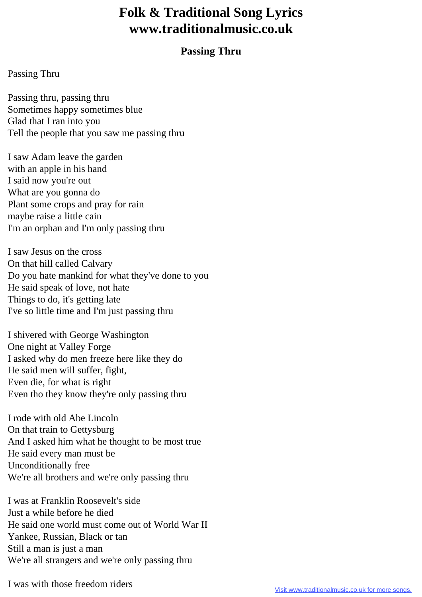## **Folk & Traditional Song Lyrics www.traditionalmusic.co.uk**

## **Passing Thru**

## Passing Thru

Passing thru, passing thru Sometimes happy sometimes blue Glad that I ran into you Tell the people that you saw me passing thru

I saw Adam leave the garden with an apple in his hand I said now you're out What are you gonna do Plant some crops and pray for rain maybe raise a little cain I'm an orphan and I'm only passing thru

I saw Jesus on the cross On that hill called Calvary Do you hate mankind for what they've done to you He said speak of love, not hate Things to do, it's getting late I've so little time and I'm just passing thru

I shivered with George Washington One night at Valley Forge I asked why do men freeze here like they do He said men will suffer, fight, Even die, for what is right Even tho they know they're only passing thru

I rode with old Abe Lincoln On that train to Gettysburg And I asked him what he thought to be most true He said every man must be Unconditionally free We're all brothers and we're only passing thru

I was at Franklin Roosevelt's side Just a while before he died He said one world must come out of World War II Yankee, Russian, Black or tan Still a man is just a man We're all strangers and we're only passing thru

I was with those freedom riders